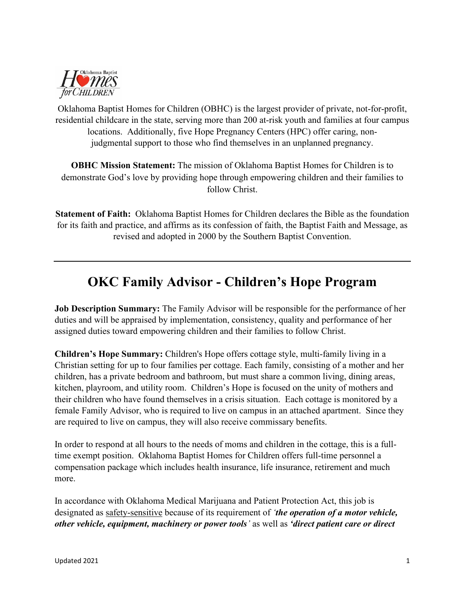

Oklahoma Baptist Homes for Children (OBHC) is the largest provider of private, not-for-profit, residential childcare in the state, serving more than 200 at-risk youth and families at four campus locations. Additionally, five Hope Pregnancy Centers (HPC) offer caring, nonjudgmental support to those who find themselves in an unplanned pregnancy.

**OBHC Mission Statement:** The mission of Oklahoma Baptist Homes for Children is to demonstrate God's love by providing hope through empowering children and their families to follow Christ.

**Statement of Faith:** Oklahoma Baptist Homes for Children declares the Bible as the foundation for its faith and practice, and affirms as its confession of faith, the Baptist Faith and Message, as revised and adopted in 2000 by the Southern Baptist Convention.

# **OKC Family Advisor - Children's Hope Program**

**Job Description Summary:** The Family Advisor will be responsible for the performance of her duties and will be appraised by implementation, consistency, quality and performance of her assigned duties toward empowering children and their families to follow Christ.

**Children's Hope Summary:** Children's Hope offers cottage style, multi-family living in a Christian setting for up to four families per cottage. Each family, consisting of a mother and her children, has a private bedroom and bathroom, but must share a common living, dining areas, kitchen, playroom, and utility room. Children's Hope is focused on the unity of mothers and their children who have found themselves in a crisis situation. Each cottage is monitored by a female Family Advisor, who is required to live on campus in an attached apartment. Since they are required to live on campus, they will also receive commissary benefits.

In order to respond at all hours to the needs of moms and children in the cottage, this is a fulltime exempt position. Oklahoma Baptist Homes for Children offers full-time personnel a compensation package which includes health insurance, life insurance, retirement and much more.

In accordance with Oklahoma Medical Marijuana and Patient Protection Act, this job is designated as safety-sensitive because of its requirement of *'the operation of a motor vehicle, other vehicle, equipment, machinery or power tools'* as well as *'direct patient care or direct*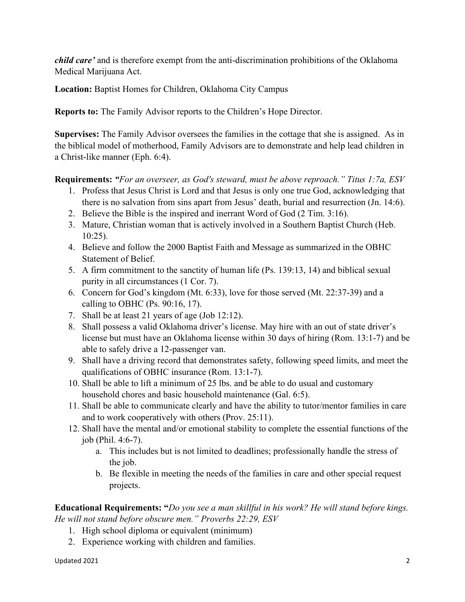*child care'* and is therefore exempt from the anti-discrimination prohibitions of the Oklahoma Medical Marijuana Act.

**Location:** Baptist Homes for Children, Oklahoma City Campus

**Reports to:** The Family Advisor reports to the Children's Hope Director.

**Supervises:** The Family Advisor oversees the families in the cottage that she is assigned. As in the biblical model of motherhood, Family Advisors are to demonstrate and help lead children in a Christ-like manner (Eph. 6:4).

**Requirements:** *"For an overseer, as God's steward, must be above reproach." Titus 1:7a, ESV*

- 1. Profess that Jesus Christ is Lord and that Jesus is only one true God, acknowledging that there is no salvation from sins apart from Jesus' death, burial and resurrection (Jn. 14:6).
- 2. Believe the Bible is the inspired and inerrant Word of God (2 Tim. 3:16).
- 3. Mature, Christian woman that is actively involved in a Southern Baptist Church (Heb. 10:25).
- 4. Believe and follow the 2000 Baptist Faith and Message as summarized in the OBHC Statement of Belief.
- 5. A firm commitment to the sanctity of human life (Ps. 139:13, 14) and biblical sexual purity in all circumstances (1 Cor. 7).
- 6. Concern for God's kingdom (Mt. 6:33), love for those served (Mt. 22:37-39) and a calling to OBHC (Ps. 90:16, 17).
- 7. Shall be at least 21 years of age (Job 12:12).
- 8. Shall possess a valid Oklahoma driver's license. May hire with an out of state driver's license but must have an Oklahoma license within 30 days of hiring (Rom. 13:1-7) and be able to safely drive a 12-passenger van.
- 9. Shall have a driving record that demonstrates safety, following speed limits, and meet the qualifications of OBHC insurance (Rom. 13:1-7).
- 10. Shall be able to lift a minimum of 25 lbs. and be able to do usual and customary household chores and basic household maintenance (Gal. 6:5).
- 11. Shall be able to communicate clearly and have the ability to tutor/mentor families in care and to work cooperatively with others (Prov. 25:11).
- 12. Shall have the mental and/or emotional stability to complete the essential functions of the job (Phil. 4:6-7).
	- a. This includes but is not limited to deadlines; professionally handle the stress of the job.
	- b. Be flexible in meeting the needs of the families in care and other special request projects.

**Educational Requirements: "***Do you see a man skillful in his work? He will stand before kings. He will not stand before obscure men." Proverbs 22:29, ESV*

- 1. High school diploma or equivalent (minimum)
- 2. Experience working with children and families.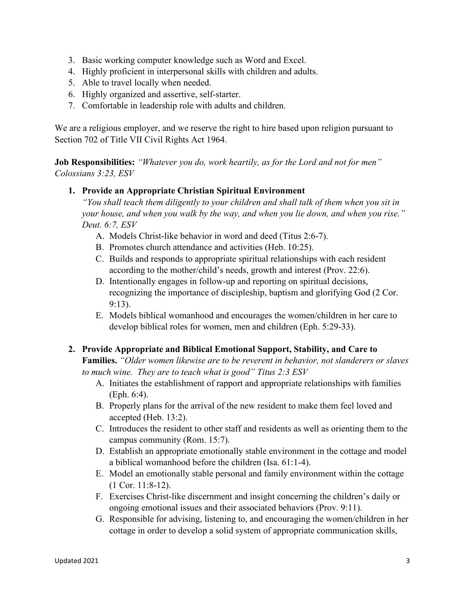- 3. Basic working computer knowledge such as Word and Excel.
- 4. Highly proficient in interpersonal skills with children and adults.
- 5. Able to travel locally when needed.
- 6. Highly organized and assertive, self-starter.
- 7. Comfortable in leadership role with adults and children.

We are a religious employer, and we reserve the right to hire based upon religion pursuant to Section 702 of Title VII Civil Rights Act 1964.

**Job Responsibilities:** *"Whatever you do, work heartily, as for the Lord and not for men" Colossians 3:23, ESV*

#### **1. Provide an Appropriate Christian Spiritual Environment**

*"You shall teach them diligently to your children and shall talk of them when you sit in your house, and when you walk by the way, and when you lie down, and when you rise." Deut. 6:7, ESV*

- A. Models Christ-like behavior in word and deed (Titus 2:6-7).
- B. Promotes church attendance and activities (Heb. 10:25).
- C. Builds and responds to appropriate spiritual relationships with each resident according to the mother/child's needs, growth and interest (Prov. 22:6).
- D. Intentionally engages in follow-up and reporting on spiritual decisions, recognizing the importance of discipleship, baptism and glorifying God (2 Cor. 9:13).
- E. Models biblical womanhood and encourages the women/children in her care to develop biblical roles for women, men and children (Eph. 5:29-33).

## **2. Provide Appropriate and Biblical Emotional Support, Stability, and Care to**

**Families.** *"Older women likewise are to be reverent in behavior, not slanderers or slaves to much wine. They are to teach what is good" Titus 2:3 ESV*

- A. Initiates the establishment of rapport and appropriate relationships with families (Eph. 6:4).
- B. Properly plans for the arrival of the new resident to make them feel loved and accepted (Heb. 13:2).
- C. Introduces the resident to other staff and residents as well as orienting them to the campus community (Rom. 15:7).
- D. Establish an appropriate emotionally stable environment in the cottage and model a biblical womanhood before the children (Isa. 61:1-4).
- E. Model an emotionally stable personal and family environment within the cottage (1 Cor. 11:8-12).
- F. Exercises Christ-like discernment and insight concerning the children's daily or ongoing emotional issues and their associated behaviors (Prov. 9:11).
- G. Responsible for advising, listening to, and encouraging the women/children in her cottage in order to develop a solid system of appropriate communication skills,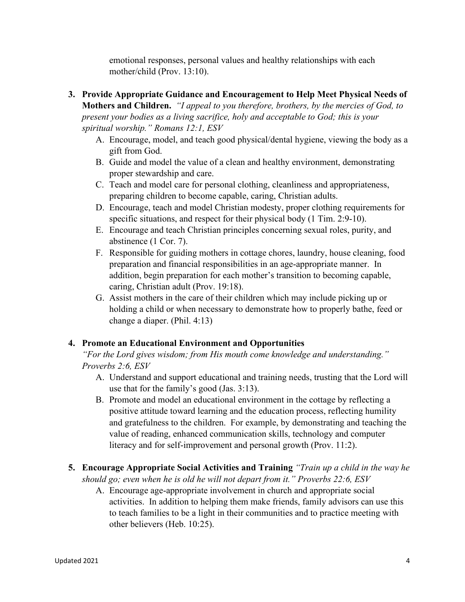emotional responses, personal values and healthy relationships with each mother/child (Prov. 13:10).

- **3. Provide Appropriate Guidance and Encouragement to Help Meet Physical Needs of Mothers and Children.** *"I appeal to you therefore, brothers, by the mercies of God, to present your bodies as a living sacrifice, holy and acceptable to God; this is your spiritual worship." Romans 12:1, ESV*
	- A. Encourage, model, and teach good physical/dental hygiene, viewing the body as a gift from God.
	- B. Guide and model the value of a clean and healthy environment, demonstrating proper stewardship and care.
	- C. Teach and model care for personal clothing, cleanliness and appropriateness, preparing children to become capable, caring, Christian adults.
	- D. Encourage, teach and model Christian modesty, proper clothing requirements for specific situations, and respect for their physical body (1 Tim. 2:9-10).
	- E. Encourage and teach Christian principles concerning sexual roles, purity, and abstinence (1 Cor. 7).
	- F. Responsible for guiding mothers in cottage chores, laundry, house cleaning, food preparation and financial responsibilities in an age-appropriate manner. In addition, begin preparation for each mother's transition to becoming capable, caring, Christian adult (Prov. 19:18).
	- G. Assist mothers in the care of their children which may include picking up or holding a child or when necessary to demonstrate how to properly bathe, feed or change a diaper. (Phil. 4:13)

## **4. Promote an Educational Environment and Opportunities**

*"For the Lord gives wisdom; from His mouth come knowledge and understanding." Proverbs 2:6, ESV*

- A. Understand and support educational and training needs, trusting that the Lord will use that for the family's good (Jas. 3:13).
- B. Promote and model an educational environment in the cottage by reflecting a positive attitude toward learning and the education process, reflecting humility and gratefulness to the children. For example, by demonstrating and teaching the value of reading, enhanced communication skills, technology and computer literacy and for self-improvement and personal growth (Prov. 11:2).
- **5. Encourage Appropriate Social Activities and Training** *"Train up a child in the way he should go; even when he is old he will not depart from it." Proverbs 22:6, ESV*
	- A. Encourage age-appropriate involvement in church and appropriate social activities. In addition to helping them make friends, family advisors can use this to teach families to be a light in their communities and to practice meeting with other believers (Heb. 10:25).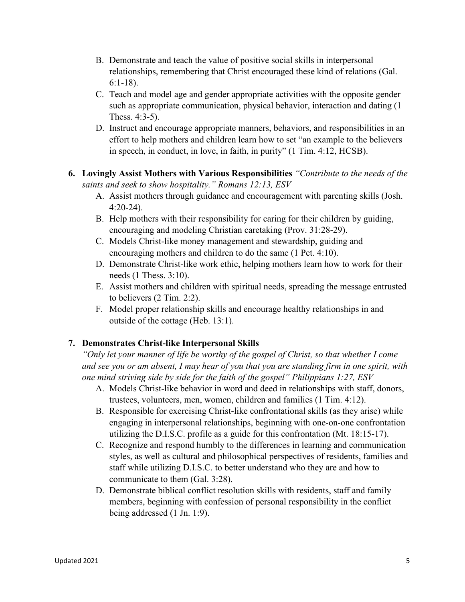- B. Demonstrate and teach the value of positive social skills in interpersonal relationships, remembering that Christ encouraged these kind of relations (Gal. 6:1-18).
- C. Teach and model age and gender appropriate activities with the opposite gender such as appropriate communication, physical behavior, interaction and dating (1 Thess. 4:3-5).
- D. Instruct and encourage appropriate manners, behaviors, and responsibilities in an effort to help mothers and children learn how to set "an example to the believers in speech, in conduct, in love, in faith, in purity" (1 Tim. 4:12, HCSB).

# **6. Lovingly Assist Mothers with Various Responsibilities** *"Contribute to the needs of the saints and seek to show hospitality." Romans 12:13, ESV*

- A. Assist mothers through guidance and encouragement with parenting skills (Josh. 4:20-24).
- B. Help mothers with their responsibility for caring for their children by guiding, encouraging and modeling Christian caretaking (Prov. 31:28-29).
- C. Models Christ-like money management and stewardship, guiding and encouraging mothers and children to do the same (1 Pet. 4:10).
- D. Demonstrate Christ-like work ethic, helping mothers learn how to work for their needs (1 Thess. 3:10).
- E. Assist mothers and children with spiritual needs, spreading the message entrusted to believers (2 Tim. 2:2).
- F. Model proper relationship skills and encourage healthy relationships in and outside of the cottage (Heb. 13:1).

# **7. Demonstrates Christ-like Interpersonal Skills**

*"Only let your manner of life be worthy of the gospel of Christ, so that whether I come and see you or am absent, I may hear of you that you are standing firm in one spirit, with one mind striving side by side for the faith of the gospel" Philippians 1:27, ESV*

- A. Models Christ-like behavior in word and deed in relationships with staff, donors, trustees, volunteers, men, women, children and families (1 Tim. 4:12).
- B. Responsible for exercising Christ-like confrontational skills (as they arise) while engaging in interpersonal relationships, beginning with one-on-one confrontation utilizing the D.I.S.C. profile as a guide for this confrontation (Mt. 18:15-17).
- C. Recognize and respond humbly to the differences in learning and communication styles, as well as cultural and philosophical perspectives of residents, families and staff while utilizing D.I.S.C. to better understand who they are and how to communicate to them (Gal. 3:28).
- D. Demonstrate biblical conflict resolution skills with residents, staff and family members, beginning with confession of personal responsibility in the conflict being addressed (1 Jn. 1:9).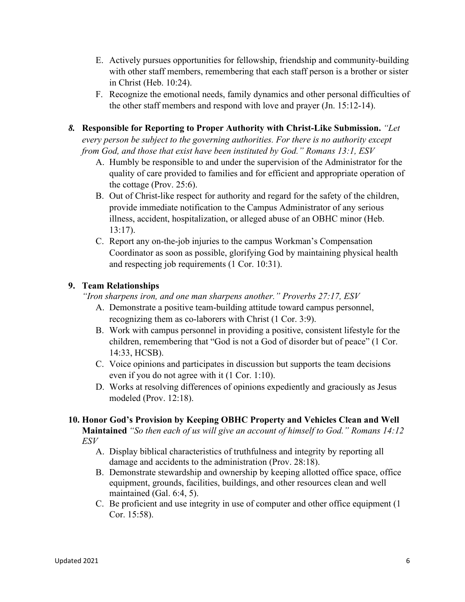- E. Actively pursues opportunities for fellowship, friendship and community-building with other staff members, remembering that each staff person is a brother or sister in Christ (Heb. 10:24).
- F. Recognize the emotional needs, family dynamics and other personal difficulties of the other staff members and respond with love and prayer (Jn. 15:12-14).
- *8.* **Responsible for Reporting to Proper Authority with Christ-Like Submission.** *"Let*

*every person be subject to the governing authorities. For there is no authority except from God, and those that exist have been instituted by God." Romans 13:1, ESV*

- A. Humbly be responsible to and under the supervision of the Administrator for the quality of care provided to families and for efficient and appropriate operation of the cottage (Prov. 25:6).
- B. Out of Christ-like respect for authority and regard for the safety of the children, provide immediate notification to the Campus Administrator of any serious illness, accident, hospitalization, or alleged abuse of an OBHC minor (Heb. 13:17).
- C. Report any on-the-job injuries to the campus Workman's Compensation Coordinator as soon as possible, glorifying God by maintaining physical health and respecting job requirements (1 Cor. 10:31).

# **9. Team Relationships**

*"Iron sharpens iron, and one man sharpens another." Proverbs 27:17, ESV*

- A. Demonstrate a positive team-building attitude toward campus personnel, recognizing them as co-laborers with Christ (1 Cor. 3:9).
- B. Work with campus personnel in providing a positive, consistent lifestyle for the children, remembering that "God is not a God of disorder but of peace" (1 Cor. 14:33, HCSB).
- C. Voice opinions and participates in discussion but supports the team decisions even if you do not agree with it (1 Cor. 1:10).
- D. Works at resolving differences of opinions expediently and graciously as Jesus modeled (Prov. 12:18).

# **10. Honor God's Provision by Keeping OBHC Property and Vehicles Clean and Well**

**Maintained** *"So then each of us will give an account of himself to God." Romans 14:12 ESV*

- A. Display biblical characteristics of truthfulness and integrity by reporting all damage and accidents to the administration (Prov. 28:18).
- B. Demonstrate stewardship and ownership by keeping allotted office space, office equipment, grounds, facilities, buildings, and other resources clean and well maintained (Gal. 6:4, 5).
- C. Be proficient and use integrity in use of computer and other office equipment (1 Cor. 15:58).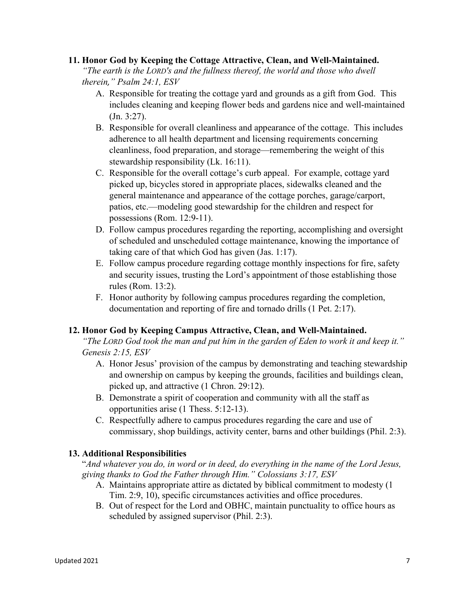#### **11. Honor God by Keeping the Cottage Attractive, Clean, and Well-Maintained.**

*"The earth is the LORD's and the fullness thereof, the world and those who dwell therein," Psalm 24:1, ESV*

- A. Responsible for treating the cottage yard and grounds as a gift from God. This includes cleaning and keeping flower beds and gardens nice and well-maintained (Jn. 3:27).
- B. Responsible for overall cleanliness and appearance of the cottage. This includes adherence to all health department and licensing requirements concerning cleanliness, food preparation, and storage—remembering the weight of this stewardship responsibility (Lk. 16:11).
- C. Responsible for the overall cottage's curb appeal. For example, cottage yard picked up, bicycles stored in appropriate places, sidewalks cleaned and the general maintenance and appearance of the cottage porches, garage/carport, patios, etc.—modeling good stewardship for the children and respect for possessions (Rom. 12:9-11).
- D. Follow campus procedures regarding the reporting, accomplishing and oversight of scheduled and unscheduled cottage maintenance, knowing the importance of taking care of that which God has given (Jas. 1:17).
- E. Follow campus procedure regarding cottage monthly inspections for fire, safety and security issues, trusting the Lord's appointment of those establishing those rules (Rom. 13:2).
- F. Honor authority by following campus procedures regarding the completion, documentation and reporting of fire and tornado drills (1 Pet. 2:17).

## **12. Honor God by Keeping Campus Attractive, Clean, and Well-Maintained.**

*"The LORD God took the man and put him in the garden of Eden to work it and keep it." Genesis 2:15, ESV*

- A. Honor Jesus' provision of the campus by demonstrating and teaching stewardship and ownership on campus by keeping the grounds, facilities and buildings clean, picked up, and attractive (1 Chron. 29:12).
- B. Demonstrate a spirit of cooperation and community with all the staff as opportunities arise (1 Thess. 5:12-13).
- C. Respectfully adhere to campus procedures regarding the care and use of commissary, shop buildings, activity center, barns and other buildings (Phil. 2:3).

## **13. Additional Responsibilities**

"*And whatever you do, in word or in deed, do everything in the name of the Lord Jesus, giving thanks to God the Father through Him." Colossians 3:17, ESV*

- A. Maintains appropriate attire as dictated by biblical commitment to modesty (1 Tim. 2:9, 10), specific circumstances activities and office procedures.
- B. Out of respect for the Lord and OBHC, maintain punctuality to office hours as scheduled by assigned supervisor (Phil. 2:3).